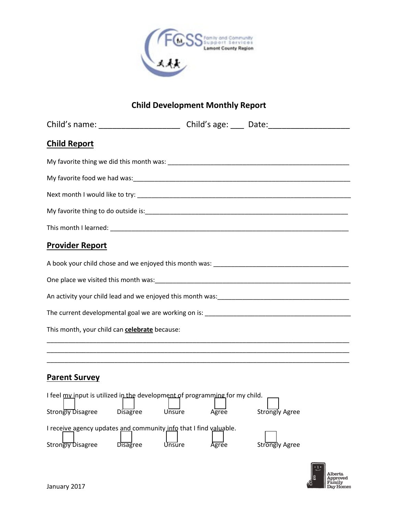

## **Child Development Monthly Report**

| Child's name: ___________________________Child's age: ______Date: _______________                                                              |       |                |  |  |
|------------------------------------------------------------------------------------------------------------------------------------------------|-------|----------------|--|--|
| <b>Child Report</b>                                                                                                                            |       |                |  |  |
| My favorite thing we did this month was: New York Change and Share and Share and Share and Share and Share and                                 |       |                |  |  |
|                                                                                                                                                |       |                |  |  |
|                                                                                                                                                |       |                |  |  |
|                                                                                                                                                |       |                |  |  |
|                                                                                                                                                |       |                |  |  |
| <b>Provider Report</b>                                                                                                                         |       |                |  |  |
|                                                                                                                                                |       |                |  |  |
|                                                                                                                                                |       |                |  |  |
|                                                                                                                                                |       |                |  |  |
|                                                                                                                                                |       |                |  |  |
| This month, your child can celebrate because:                                                                                                  |       |                |  |  |
|                                                                                                                                                |       |                |  |  |
|                                                                                                                                                |       |                |  |  |
| <b>Parent Survey</b>                                                                                                                           |       |                |  |  |
| I feel my input is utilized in the development of programming for my child.<br>Strongly Disagree Disagree<br>Strongly Agree<br>Unsure<br>Agree |       |                |  |  |
| I receive agency updates and community info that I find valuable.<br>Strongly Disagree Disagree Unsure                                         | Agree | Strongly Agree |  |  |